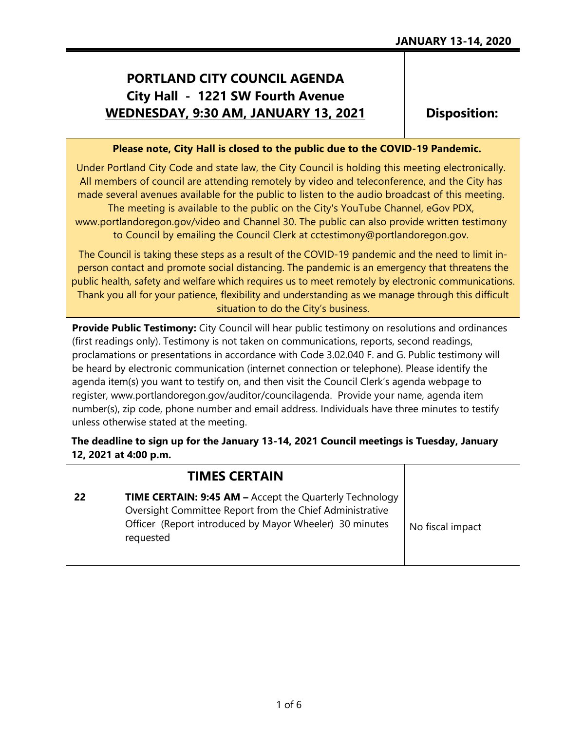## **PORTLAND CITY COUNCIL AGENDA City Hall - 1221 SW Fourth Avenue WEDNESDAY, 9:30 AM, JANUARY 13, 2021**

**Disposition:**

## **Please note, City Hall is closed to the public due to the COVID-19 Pandemic.**

Under Portland City Code and state law, the City Council is holding this meeting electronically. All members of council are attending remotely by video and teleconference, and the City has made several avenues available for the public to listen to the audio broadcast of this meeting.

The meeting is available to the public on the City's YouTube Channel, eGov PDX, www.portlandoregon.gov/video and Channel 30. The public can also provide written testimony to Council by emailing the Council Clerk at cctestimony@portlandoregon.gov.

The Council is taking these steps as a result of the COVID-19 pandemic and the need to limit inperson contact and promote social distancing. The pandemic is an emergency that threatens the public health, safety and welfare which requires us to meet remotely by electronic communications. Thank you all for your patience, flexibility and understanding as we manage through this difficult situation to do the City's business.

**Provide Public Testimony:** City Council will hear public testimony on resolutions and ordinances (first readings only). Testimony is not taken on communications, reports, second readings, proclamations or presentations in accordance with Code 3.02.040 F. and G. Public testimony will be heard by electronic communication (internet connection or telephone). Please identify the agenda item(s) you want to testify on, and then visit the Council Clerk's agenda webpage to register, www.portlandoregon.gov/auditor/councilagenda. Provide your name, agenda item number(s), zip code, phone number and email address. Individuals have three minutes to testify unless otherwise stated at the meeting.

**The deadline to sign up for the January 13-14, 2021 Council meetings is Tuesday, January 12, 2021 at 4:00 p.m.**

|    | <b>TIMES CERTAIN</b>                                                                                                                                                                        |                  |
|----|---------------------------------------------------------------------------------------------------------------------------------------------------------------------------------------------|------------------|
| 22 | TIME CERTAIN: 9:45 AM - Accept the Quarterly Technology<br>Oversight Committee Report from the Chief Administrative<br>Officer (Report introduced by Mayor Wheeler) 30 minutes<br>requested | No fiscal impact |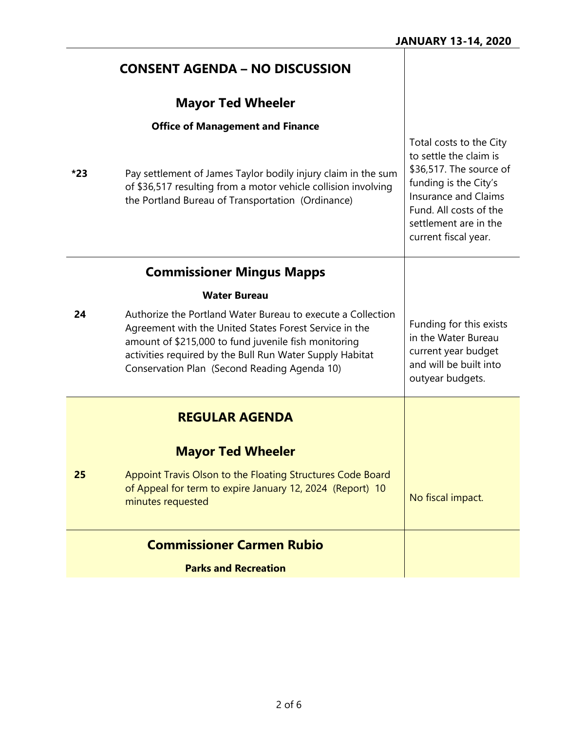|     | <b>CONSENT AGENDA - NO DISCUSSION</b>                                                                                                                                                                                                                                                     |                                                                                                                                                                               |
|-----|-------------------------------------------------------------------------------------------------------------------------------------------------------------------------------------------------------------------------------------------------------------------------------------------|-------------------------------------------------------------------------------------------------------------------------------------------------------------------------------|
|     | <b>Mayor Ted Wheeler</b>                                                                                                                                                                                                                                                                  |                                                                                                                                                                               |
|     | <b>Office of Management and Finance</b>                                                                                                                                                                                                                                                   | Total costs to the City                                                                                                                                                       |
| *23 | Pay settlement of James Taylor bodily injury claim in the sum<br>of \$36,517 resulting from a motor vehicle collision involving<br>the Portland Bureau of Transportation (Ordinance)                                                                                                      | to settle the claim is<br>\$36,517. The source of<br>funding is the City's<br>Insurance and Claims<br>Fund. All costs of the<br>settlement are in the<br>current fiscal year. |
|     | <b>Commissioner Mingus Mapps</b>                                                                                                                                                                                                                                                          |                                                                                                                                                                               |
|     | <b>Water Bureau</b>                                                                                                                                                                                                                                                                       |                                                                                                                                                                               |
| 24  | Authorize the Portland Water Bureau to execute a Collection<br>Agreement with the United States Forest Service in the<br>amount of \$215,000 to fund juvenile fish monitoring<br>activities required by the Bull Run Water Supply Habitat<br>Conservation Plan (Second Reading Agenda 10) | Funding for this exists<br>in the Water Bureau<br>current year budget<br>and will be built into<br>outyear budgets.                                                           |
|     | <b>REGULAR AGENDA</b>                                                                                                                                                                                                                                                                     |                                                                                                                                                                               |
|     | <b>Mayor Ted Wheeler</b>                                                                                                                                                                                                                                                                  |                                                                                                                                                                               |
| 25  | Appoint Travis Olson to the Floating Structures Code Board<br>of Appeal for term to expire January 12, 2024 (Report) 10<br>minutes requested                                                                                                                                              | No fiscal impact.                                                                                                                                                             |
|     | <b>Commissioner Carmen Rubio</b>                                                                                                                                                                                                                                                          |                                                                                                                                                                               |
|     | <b>Parks and Recreation</b>                                                                                                                                                                                                                                                               |                                                                                                                                                                               |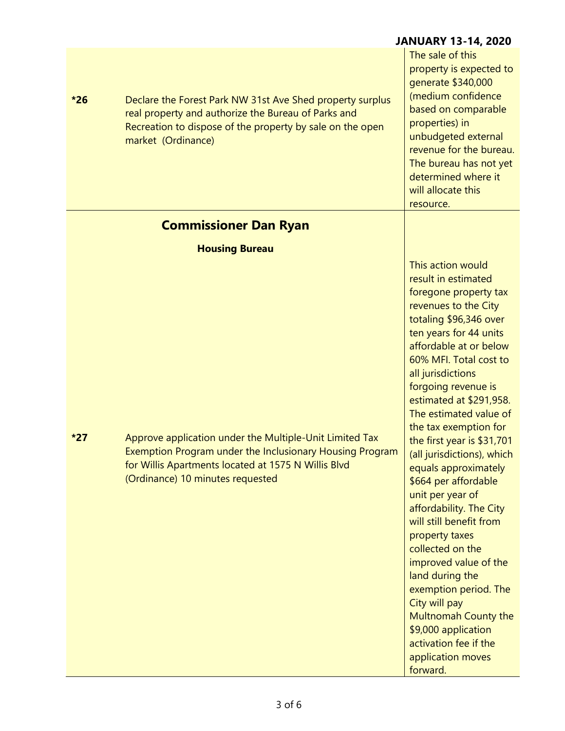|       |                                                                                                                                                                                                                | <b>JANUARY 13-14, 2020</b>                                                                                                                                                                                                                                                                                                                                                                                                                                                                                                                                                                                                                                                                                                                             |
|-------|----------------------------------------------------------------------------------------------------------------------------------------------------------------------------------------------------------------|--------------------------------------------------------------------------------------------------------------------------------------------------------------------------------------------------------------------------------------------------------------------------------------------------------------------------------------------------------------------------------------------------------------------------------------------------------------------------------------------------------------------------------------------------------------------------------------------------------------------------------------------------------------------------------------------------------------------------------------------------------|
| $*26$ | Declare the Forest Park NW 31st Ave Shed property surplus<br>real property and authorize the Bureau of Parks and<br>Recreation to dispose of the property by sale on the open<br>market (Ordinance)            | The sale of this<br>property is expected to<br>generate \$340,000<br>(medium confidence<br>based on comparable<br>properties) in<br>unbudgeted external<br>revenue for the bureau.<br>The bureau has not yet<br>determined where it<br>will allocate this<br>resource.                                                                                                                                                                                                                                                                                                                                                                                                                                                                                 |
|       | <b>Commissioner Dan Ryan</b>                                                                                                                                                                                   |                                                                                                                                                                                                                                                                                                                                                                                                                                                                                                                                                                                                                                                                                                                                                        |
|       | <b>Housing Bureau</b>                                                                                                                                                                                          |                                                                                                                                                                                                                                                                                                                                                                                                                                                                                                                                                                                                                                                                                                                                                        |
| $*27$ | Approve application under the Multiple-Unit Limited Tax<br>Exemption Program under the Inclusionary Housing Program<br>for Willis Apartments located at 1575 N Willis Blvd<br>(Ordinance) 10 minutes requested | This action would<br>result in estimated<br>foregone property tax<br>revenues to the City<br>totaling \$96,346 over<br>ten years for 44 units<br>affordable at or below<br>60% MFI. Total cost to<br>all jurisdictions<br>forgoing revenue is<br>estimated at \$291,958.<br>The estimated value of<br>the tax exemption for<br>the first year is \$31,701<br>(all jurisdictions), which<br>equals approximately<br>\$664 per affordable<br>unit per year of<br>affordability. The City<br>will still benefit from<br>property taxes<br>collected on the<br>improved value of the<br>land during the<br>exemption period. The<br>City will pay<br>Multnomah County the<br>\$9,000 application<br>activation fee if the<br>application moves<br>forward. |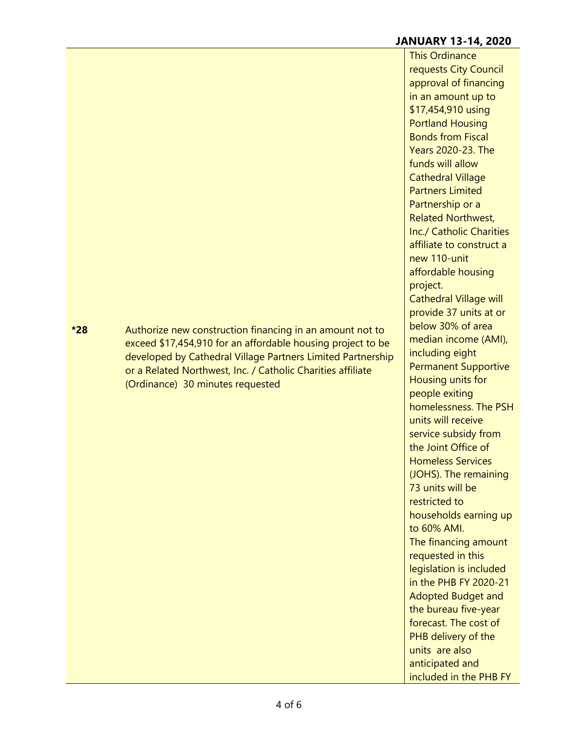## **JANUARY 13-14, 2020**

This Ordinance requests City Council approval of financing in an amount up to \$17,454,910 using Portland Housing Bonds from Fiscal Years 2020-23. The funds will allow Cathedral Village Partners Limited Partnership or a Related Northwest, Inc./ Catholic Charities affiliate to construct a new 110-unit affordable housing project. Cathedral Village will provide 37 units at or below 30% of area median income (AMI), including eight Permanent Supportive Housing units for people exiting homelessness. The PSH units will receive service subsidy from the Joint Office of Homeless Services (JOHS). The remaining 73 units will be restricted to households earning up to 60% AMI. The financing amount requested in this legislation is included in the PHB FY 2020-21 Adopted Budget and the bureau five-year forecast. The cost of PHB delivery of the units are also anticipated and included in the PHB FY

**\*28** Authorize new construction financing in an amount not to exceed \$17,454,910 for an affordable housing project to be developed by Cathedral Village Partners Limited Partnership or a Related Northwest, Inc. / Catholic Charities affiliate (Ordinance) 30 minutes requested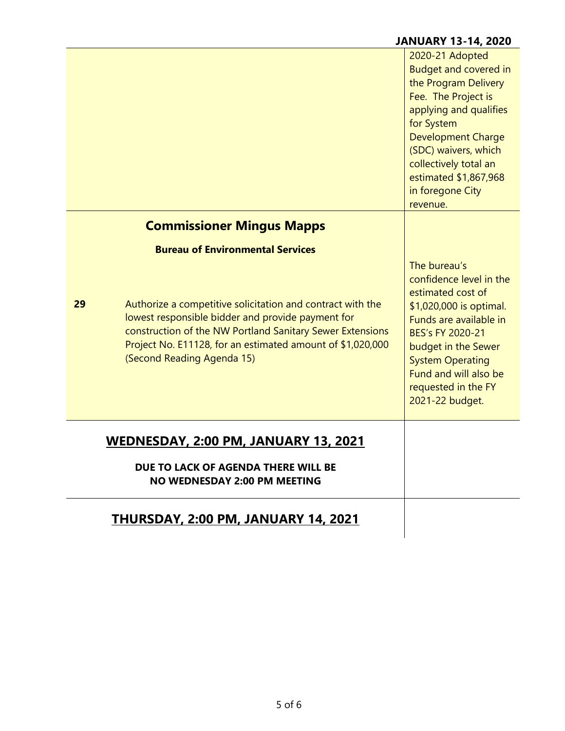|                                                                            |                                                                                                                                                                                                                                                                          | 2020-21 Adopted<br><b>Budget and covered in</b><br>the Program Delivery<br>Fee. The Project is<br>applying and qualifies<br>for System<br><b>Development Charge</b><br>(SDC) waivers, which<br>collectively total an<br>estimated \$1,867,968<br>in foregone City<br>revenue. |
|----------------------------------------------------------------------------|--------------------------------------------------------------------------------------------------------------------------------------------------------------------------------------------------------------------------------------------------------------------------|-------------------------------------------------------------------------------------------------------------------------------------------------------------------------------------------------------------------------------------------------------------------------------|
|                                                                            | <b>Commissioner Mingus Mapps</b>                                                                                                                                                                                                                                         |                                                                                                                                                                                                                                                                               |
|                                                                            | <b>Bureau of Environmental Services</b>                                                                                                                                                                                                                                  |                                                                                                                                                                                                                                                                               |
| 29                                                                         | Authorize a competitive solicitation and contract with the<br>lowest responsible bidder and provide payment for<br>construction of the NW Portland Sanitary Sewer Extensions<br>Project No. E11128, for an estimated amount of \$1,020,000<br>(Second Reading Agenda 15) | The bureau's<br>confidence level in the<br>estimated cost of<br>\$1,020,000 is optimal.<br>Funds are available in<br>BES's FY 2020-21<br>budget in the Sewer<br><b>System Operating</b><br>Fund and will also be<br>requested in the FY<br>2021-22 budget.                    |
|                                                                            | <u>WEDNESDAY, 2:00 PM, JANUARY 13, 2021</u>                                                                                                                                                                                                                              |                                                                                                                                                                                                                                                                               |
| DUE TO LACK OF AGENDA THERE WILL BE<br><b>NO WEDNESDAY 2:00 PM MEETING</b> |                                                                                                                                                                                                                                                                          |                                                                                                                                                                                                                                                                               |
|                                                                            | <u>THURSDAY, 2:00 PM, JANUARY 14, 2021</u>                                                                                                                                                                                                                               |                                                                                                                                                                                                                                                                               |